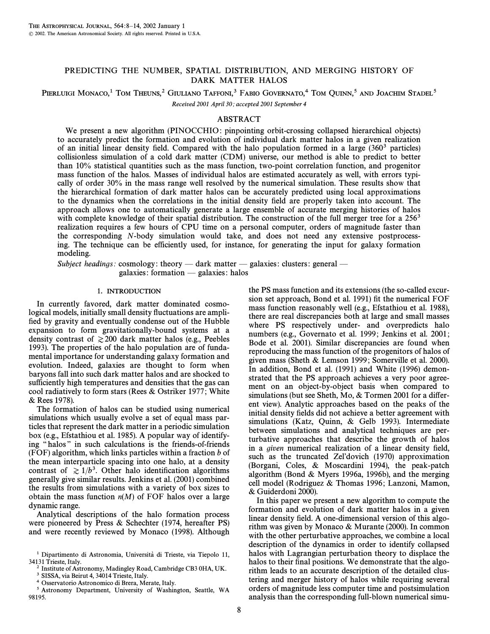# PREDICTING THE NUMBER, SPATIAL DISTRIBUTION, AND MERGING HISTORY OF DARK MATTER HALOS

# PIERLUIGI MONACO,<sup>1</sup> TOM THEUNS,<sup>2</sup> GIULIANO TAFFONI,<sup>3</sup> FABIO GOVERNATO,<sup>4</sup> TOM QUINN,<sup>5</sup> AND JOACHIM STADEL<sup>5</sup> Received 2001 April 30; accepted 2001 September 4

## ABSTRACT

We present a new algorithm (PINOCCHIO: pinpointing orbit-crossing collapsed hierarchical objects) to accurately predict the formation and evolution of individual dark matter halos in a given realization of an initial linear density field. Compared with the halo population formed in a large  $(360<sup>3</sup>$  particles) collisionless simulation of a cold dark matter (CDM) universe, our method is able to predict to better than 10% statistical quantities such as the mass function, two-point correlation function, and progenitor mass function of the halos. Masses of individual halos are estimated accurately as well, with errors typically of order 30% in the mass range well resolved by the numerical simulation. These results show that the hierarchical formation of dark matter halos can be accurately predicted using local approximations to the dynamics when the correlations in the initial density field are properly taken into account. The approach allows one to automatically generate a large ensemble of accurate merging histories of halos with complete knowledge of their spatial distribution. The construction of the full merger tree for a  $256<sup>3</sup>$ realization requires a few hours of CPU time on a personal computer, orders of magnitude faster than the corresponding N-body simulation would take, and does not need any extensive postprocessing. The technique can be efficiently used, for instance, for generating the input for galaxy formation modeling.

Subject headings: cosmology: theory — dark matter — galaxies: clusters: general  $galaxies: formation - galaxies: halos$ 

## 1. INTRODUCTION

In currently favored, dark matter dominated cosmological models, initially small density fluctuations are amplified by gravity and eventually condense out of the Hubble expansion to form gravitationally-bound systems at a density contrast of  $\geq 200$  dark matter halos (e.g., Peebles 1993). The properties of the halo population are of fundamental importance for understanding galaxy formation and evolution. Indeed, galaxies are thought to form when baryons fall into such dark matter halos and are shocked to sufficiently high temperatures and densities that the gas can cool radiatively to form stars (Rees & Ostriker 1977 ; White & Rees 1978).

The formation of halos can be studied using numerical simulations which usually evolve a set of equal mass particles that represent the dark matter in a periodic simulation box (e.g., Efstathiou et al. 1985). A popular way of identifying "halos" in such calculations is the friends-of-friends (FOF) algorithm, which links particles within a fraction  $b$  of the mean interparticle spacing into one halo, at a density contrast of  $\geq 1/b^3$ . Other halo identification algorithms generally give similar results. Jenkins et al. (2001) combined the results from simulations with a variety of box sizes to obtain the mass function  $n(M)$  of FOF halos over a large dynamic range.

Analytical descriptions of the halo formation process were pioneered by Press & Schechter (1974, hereafter PS) and were recently reviewed by Monaco (1998). Although the PS mass function and its extensions (the so-called excursion set approach, Bond et al. 1991) fit the numerical FOF mass function reasonably well (e.g., Efstathiou et al. 1988), there are real discrepancies both at large and small masses where PS respectively under- and overpredicts halo numbers (e.g., Governato et al. 1999; Jenkins et al. 2001; Bode et al. 2001). Similar discrepancies are found when reproducing the mass function of the progenitors of halos of given mass (Sheth & Lemson 1999 ; Somerville et al. 2000). In addition, Bond et al. (1991) and White (1996) demonstrated that the PS approach achieves a very poor agreement on an object-by-object basis when compared to simulations (but see Sheth, Mo,  $&$  Tormen 2001 for a different view). Analytic approaches based on the peaks of the initial density fields did not achieve a better agreement with simulations (Katz, Quinn, & Gelb 1993). Intermediate between simulations and analytical techniques are perturbative approaches that describe the growth of halos in a *given* numerical realization of a linear density field, such as the truncated Zel'dovich (1970) approximation (Borgani, Coles, & Moscardini 1994), the peak-patch algorithm (Bond & Myers 1996a, 1996b), and the merging cell model (Rodriguez & Thomas 1996; Lanzoni, Mamon, & Guiderdoni 2000).

In this paper we present a new algorithm to compute the formation and evolution of dark matter halos in a given linear density field. A one-dimensional version of this algorithm was given by Monaco & Murante (2000). In common with the other perturbative approaches, we combine a local description of the dynamics in order to identify collapsed halos with Lagrangian perturbation theory to displace the halos to their final positions. We demonstrate that the algorithm leads to an accurate description of the detailed clustering and merger history of halos while requiring several orders of magnitude less computer time and postsimulation analysis than the corresponding full-blown numerical simu-

 $1$  Dipartimento di Astronomia, Università di Trieste, via Tiepolo 11, 34131 Trieste, Italy.

<sup>2</sup> Institute of Astronomy, Madingley Road, Cambridge CB3 0HA, UK.

<sup>&</sup>lt;sup>3</sup> SISSA, via Beirut 4, 34014 Trieste, Italy.

<sup>4</sup> Osservatorio Astronomico di Brera, Merate, Italy.

<sup>5</sup> Astronomy Department, University of Washington, Seattle, WA 98195.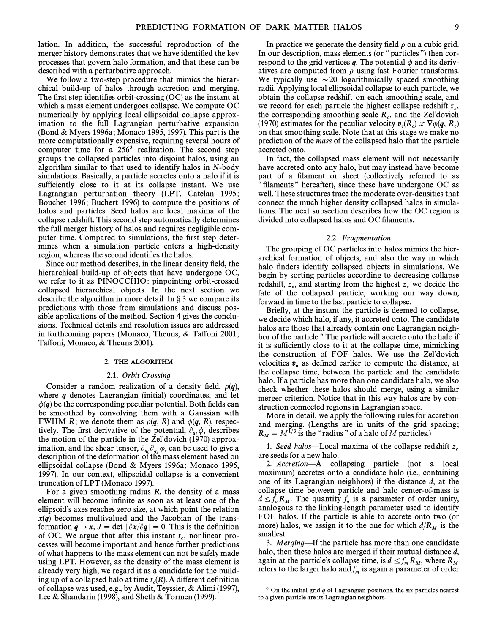lation. In addition, the successful reproduction of the merger history demonstrates that we have identified the key processes that govern halo formation, and that these can be described with a perturbative approach.

We follow a two-step procedure that mimics the hierarchical build-up of halos through accretion and merging. The first step identifies orbit-crossing  $(OC)$  as the instant at which a mass element undergoes collapse. We compute OC numerically by applying local ellipsoidal collapse approximation to the full Lagrangian perturbative expansion (Bond & Myers 1996a ; Monaco 1995, 1997). This part is the more computationally expensive, requiring several hours of computer time for a  $256<sup>3</sup>$  realization. The second step groups the collapsed particles into disjoint halos, using an algorithm similar to that used to identify halos in N-body simulations. Basically, a particle accretes onto a halo if it is sufficiently close to it at its collapse instant. We use Lagrangian perturbation theory (LPT, Catelan 1995; Bouchet 1996; Buchert 1996) to compute the positions of halos and particles. Seed halos are local maxima of the collapse redshift. This second step automatically determines the full merger history of halos and requires negligible computer time. Compared to simulations, the first step determines when a simulation particle enters a high-density region, whereas the second identifies the halos.

Since our method describes, in the linear density field, the hierarchical build-up of objects that have undergone OC, we refer to it as PINOCCHIO: pinpointing orbit-crossed collapsed hierarchical objects. In the next section we describe the algorithm in more detail. In  $\S$  3 we compare its predictions with those from simulations and discuss possible applications of the method. Section 4 gives the conclusions. Technical details and resolution issues are addressed in forthcoming papers (Monaco, Theuns,  $& Taffoni 2001;$ Taffoni, Monaco, & Theuns 2001).

## 2. THE ALGORITHM

#### 2.1. Orbit Crossing

Consider a random realization of a density field,  $\rho(q)$ , where *q* denotes Lagrangian (initial) coordinates, and let  $\phi(q)$  be the corresponding peculiar potential. Both fields can be smoothed by convolving them with a Gaussian with FWHM R; we denote them as  $\rho(q, R)$  and  $\phi(q, R)$ , respectively. The first derivative of the potential,  $\partial_a$ ,  $\phi$ , describes the motion of the particle in the Zel'dovich (1970) approximation, and the shear tensor,  $\partial_{a_i} \partial_{a_j} \phi$ , can be used to give a description of the deformation of the mass element based on ellipsoidal collapse (Bond & Myers 1996a; Monaco 1995, 1997). In our context, ellipsoidal collapse is a convenient truncation of LPT (Monaco 1997).

For a given smoothing radius  $R$ , the density of a mass element will become infinite as soon as at least one of the ellipsoid's axes reaches zero size, at which point the relation  $x(q)$  becomes multivalued and the Jacobian of the transformation  $q \rightarrow x$ ,  $J = \det |\partial x / \partial q| = 0$ . This is the definition of OC. We argue that after this instant  $t_c$ , nonlinear processes will become important and hence further predictions of what happens to the mass element can not be safely made using LPT. However, as the density of the mass element is already very high, we regard it as a candidate for the building up of a collapsed halo at time  $t_c(R)$ . A different definition c of collapse was used, e.g., by Audit, Teyssier, & Alimi (1997), Lee & Shandarin (1998), and Sheth & Tormen (1999).

In practice we generate the density field  $\rho$  on a cubic grid. In our description, mass elements (or "particles") then correspond to the grid vertices  $q$ . The potential  $\phi$  and its derivatives are computed from  $\rho$  using fast Fourier transforms. We typically use  $\sim$  20 logarithmically spaced smoothing radii. Applying local ellipsoidal collapse to each particle, we obtain the collapse redshift on each smoothing scale, and we record for each particle the highest collapse redshift  $z_c$ , the corresponding smoothing scale  $R_c$ , and the Zel'dovich  $R_c$ <br>(1970) estimates for the negaliar velocity  $n(R) \propto \nabla \phi(a, R)$ (1970) estimates for the peculiar velocity  $v_c(R_c) \propto \nabla \phi(\boldsymbol{q}, R_c)$ <br>on that smoothing scale. Note that at this stage we make no on that smoothing scale. Note that at this stage we make no<br>on that smoothing scale. Note that at this stage we make no prediction of the mass of the collapsed halo that the particle accreted onto.

In fact, the collapsed mass element will not necessarily have accreted onto any halo, but may instead have become part of a filament or sheet (collectively referred to as filaments" hereafter), since these have undergone OC as well. These structures trace the moderate over-densities that connect the much higher density collapsed halos in simulations. The next subsection describes how the OC region is divided into collapsed halos and OC filaments.

## 2.2. Fragmentation

The grouping of OC particles into halos mimics the hierarchical formation of objects, and also the way in which halo finders identify collapsed objects in simulations. We begin by sorting particles according to decreasing collapse redshift,  $z_c$ , and starting from the highest  $z_c$  we decide the fate of the collapsed particle, working our way down, forward in time to the last particle to collapse.

Briefly, at the instant the particle is deemed to collapse, we decide which halo, if any, it accreted onto. The candidate halos are those that already contain one Lagrangian neighbor of the particle.<sup>6</sup> The particle will accrete onto the halo if it is sufficiently close to it at the collapse time, mimicking the construction of FOF halos. We use the Zel'dovich velocities  $v<sub>c</sub>$  as defined earlier to compute the distance, at **<sup>c</sup>** the collapse time, between the particle and the candidate halo. If a particle has more than one candidate halo, we also check whether these halos should merge, using a similar merger criterion. Notice that in this way halos are by construction connected regions in Lagrangian space.

More in detail, we apply the following rules for accretion and merging. (Lengths are in units of the grid spacing;  $R_M = M^{1/3}$  is the "radius" of a halo of M particles.)

1. Seed halos—Local maxima of the collapse redshift  $z_c$ are seeds for a new halo.

2. Accretion—A collapsing particle (not a local maximum) accretes onto a candidate halo (i.e., containing one of its Lagrangian neighbors) if the distance d, at the collapse time between particle and halo center-of-mass is  $d \le f_a R_M$ . The quantity  $f_a$  is a parameter of order unity, analogous to the linking-length parameter used to identify analogous to the linking-length parameter used to identify FOF halos. If the particle is able to accrete onto two (or more) halos, we assign it to the one for which  $d/R_M$  is the smallest.

3. Merging—If the particle has more than one candidate halo, then these halos are merged if their mutual distance  $d$ , again at the particle's collapse time, is  $d \le f_m R_M$ , where  $R_M$ again at the particle's collapse time, is  $d \le f_m R_M$ , where  $R_M$  refers to the larger halo and  $f_m$  is again a parameter of order

<sup>6</sup> On the initial grid *q* of Lagrangian positions, the six particles nearest to a given particle are its Lagrangian neighbors.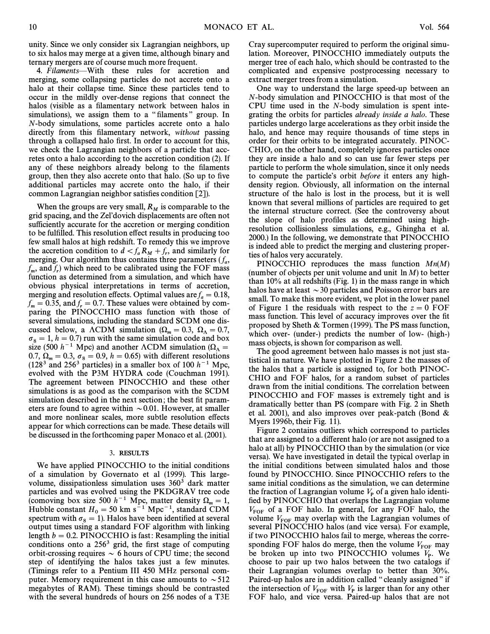unity. Since we only consider six Lagrangian neighbors, up to six halos may merge at a given time, although binary and ternary mergers are of course much more frequent.

4. Filaments—With these rules for accretion and merging, some collapsing particles do not accrete onto a halo at their collapse time. Since these particles tend to occur in the mildly over-dense regions that connect the halos (visible as a filamentary network between halos in simulations), we assign them to a "filaments" group. In N-body simulations, some particles accrete onto a halo directly from this filamentary network, without passing through a collapsed halo first. In order to account for this, we check the Lagrangian neighbors of a particle that accretes onto a halo according to the accretion condition (2). If any of these neighbors already belong to the filaments group, then they also accrete onto that halo. (So up to five additional particles may accrete onto the halo, if their common Lagrangian neighbor satisfies condition [2]).

When the groups are very small,  $R_M$  is comparable to the grid spacing, and the Zel'dovich displacements are often not sufficiently accurate for the accretion or merging condition to be fulfilled. This resolution effect results in producing too few small halos at high redshift. To remedy this we improve the accretion condition to  $d < f_a R_M + f_r$ , and similarly for merging Our algorithm thus contains three parameters (f) merging. Our algorithm thus contains three parameters  $(f_a)$ , f and f, which need to be calibrated using the FOF mass<br>function as determined from a simulation and which have  $r_m$ , and  $r_f$ , which heed to be canonical doing the  $r$  or mass obvious physical interpretations in terms of accretion, merging and resolution effects. Optimal values are  $f_a = 0.18$ , for a  $f_a = 0.35$ , and f,  $f = 0.7$ . These values were obtained by com-<br>naring the DINOCCHIO mass function with those of  $r_m = 0.55$ , and  $r_r = 0.7$ . These values were obtained by com-<br>paring the PINOCCHIO mass function with those of several simulations, including the standard SCDM one discussed below, a  $\Lambda$ CDM simulation ( $\Omega_m = 0.3, \ \Omega_{\Lambda} = 0.7,$  $\sigma_8 = 1, h = 0.7$  run with the same simulation code and box size (500  $h^{-1}$  Mpc) and another  $\Lambda$ CDM simulation ( $\Omega_{\Lambda}$  = 0.7,  $\Omega_m = 0.3$ ,  $\sigma_8 = 0.9$ ,  $h = 0.65$ ) with different resolutions (128<sup>3</sup> and 256<sup>3</sup> particles) in a smaller hox of 100  $h^{-1}$  Mpc  $(128<sup>3</sup>$  and 256<sup>3</sup> particles) in a smaller box of 100  $h<sup>-1</sup>$  Mpc, evolved with the P3M HYDRA code (Couchman 1991). The agreement between PINOCCHIO and these other simulations is as good as the comparison with the SCDM simulation described in the next section; the best fit parameters are found to agree within  $\sim 0.01$ . However, at smaller and more nonlinear scales, more subtle resolution effects appear for which corrections can be made. These details will be discussed in the forthcoming paper Monaco et al. (2001).

## 3. RESULTS

We have applied PINOCCHIO to the initial conditions of a simulation by Governato et al (1999). This largevolume, dissipationless simulation uses  $360<sup>3</sup>$  dark matter particles and was evolved using the PKDGRAV tree code (comoving box size 500  $h^{-1}$  Mpc, matter density  $\Omega_m = 1$ ,<br>Hubble constant  $H_1 = 50$  km s<sup>-1</sup>, Mpc<sup>-1</sup>, standard CDM Hubble constant  $H_0 = 50 \text{ km s}^{-1} \text{ Mpc}^{-1}$ , standard CDM<br>spectrum with  $\sigma_8 = 1$ ). Halos have been identified at several<br>output times using a standard EOE algorithm with linking output times using a standard FOF algorithm with linking length  $b = 0.2$ . PINOCCHIO is fast: Resampling the initial conditions onto a  $256<sup>3</sup>$  grid, the first stage of computing orbit-crossing requires  $\sim 6$  hours of CPU time; the second step of identifying the halos takes just a few minutes. (Timings refer to a Pentium III 450 MHz personal computer. Memory requirement in this case amounts to  $\sim$  512 megabytes of RAM). These timings should be contrasted with the several hundreds of hours on 256 nodes of a T3E

Cray supercomputer required to perform the original simulation. Moreover, PINOCCHIO immediately outputs the merger tree of each halo, which should be contrasted to the complicated and expensive postprocessing necessary to extract merger trees from a simulation.

One way to understand the large speed-up between an N-body simulation and PINOCCHIO is that most of the CPU time used in the N-body simulation is spent integrating the orbits for particles already inside a halo. These particles undergo large accelerations as they orbit inside the halo, and hence may require thousands of time steps in order for their orbits to be integrated accurately. PINOC-CHIO, on the other hand, completely ignores particles once they are inside a halo and so can use far fewer steps per particle to perform the whole simulation, since it only needs to compute the particle's orbit before it enters any highdensity region. Obviously, all information on the internal structure of the halo is lost in the process, but it is well known that several millions of particles are required to get the internal structure correct. (See the controversy about the slope of halo profiles as determined using highresolution collisionless simulations, e.g., Ghingha et al. 2000.) In the following, we demonstrate that PINOCCHIO is indeed able to predict the merging and clustering properties of halos very accurately.

PINOCCHIO reproduces the mass function  $Mn(M)$ (number of objects per unit volume and unit  $\ln M$ ) to better than 10% at all redshifts (Fig. 1) in the mass range in which halos have at least  $\sim$  30 particles and Poisson error bars are small. To make this more evident, we plot in the lower panel of Figure 1 the residuals with respect to the  $z=0$  FOF mass function. This level of accuracy improves over the fit proposed by Sheth & Tormen (1999). The PS mass function, which over- (under-) predicts the number of low- (high-) mass objects, is shown for comparison as well.

The good agreement between halo masses is not just statistical in nature. We have plotted in Figure 2 the masses of the halos that a particle is assigned to, for both PINOC-CHIO and FOF halos, for a random subset of particles drawn from the initial conditions. The correlation between PINOCCHIO and FOF masses is extremely tight and is dramatically better than PS (compare with Fig. 2 in Sheth et al. 2001), and also improves over peak-patch (Bond & Myers 1996b, their Fig. 11).

Figure 2 contains outliers which correspond to particles that are assigned to a different halo (or are not assigned to a halo at all) by PINOCCHIO than by the simulation (or vice versa). We have investigated in detail the typical overlap in the initial conditions between simulated halos and those found by PINOCCHIO. Since PINOCCHIO refers to the same initial conditions as the simulation, we can determine the fraction of Lagrangian volume  $V_{\rm P}$  of a given halo identified by PINOCCHIO that overlaps the Lagrangian volume  $V_{\text{FOF}}$  of a FOF halo. In general, for any FOF halo, the volume  $V_{\text{FOF}}$  may overlap with the Lagrangian volumes of several PINOCCHIO halos (and vice versa). For example, if two PINOCCHIO halos fail to merge, whereas the corresponding FOF halos do merge, then the volume  $V_{\text{FOF}}$  may be broken up into two PINOCCHIO volumes  $V_p$ . We P choose to pair up two halos between the two catalogs if their Lagrangian volumes overlap to better than 30%. Paired-up halos are in addition called "cleanly assigned" if the intersection of  $V_{\text{FOF}}$  with  $V_{\text{p}}$  is larger than for any other  $\text{FOF}$  halo, and vice versa. Paired up halos that are not FOF halo, and vice versa. Paired-up halos that are not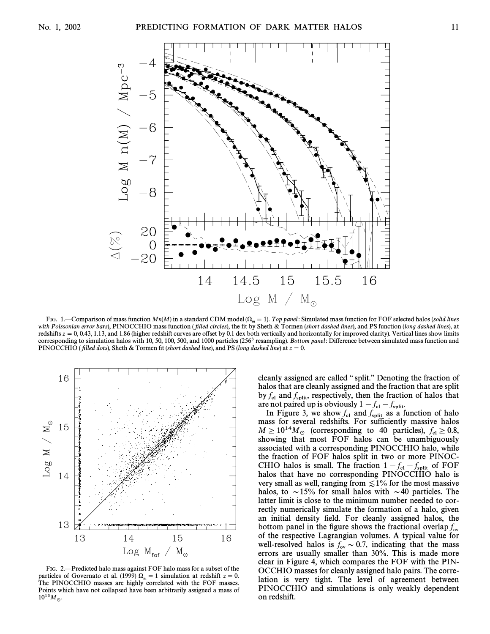

FIG. 1.—Comparison of mass function  $Mn(M)$  in a standard CDM model ( $\Omega_m = 1$ ). Top panel: Simulated mass function for FOF selected halos (solid lines with Poissonian error bars), PINOCCHIO mass function (filled circles), the fit by Sheth & Tormen (short dashed lines), and PS function (long dashed lines), at redshifts  $z = 0$ , 0.43, 1.13, and 1.86 (higher redshift curves are offset by 0.1 dex both vertically and horizontally for improved clarity). Vertical lines show limits corresponding to simulation halos with 10, 50, 100, 500, and 1000 particles  $(256<sup>3</sup>$  resampling). Bottom panel: Difference between simulated mass function and PINOCCHIO (filled dots), Sheth & Tormen fit (short dashed line), and PS (long dashed line) at  $z=0$ .



FIG. 2. Predicted halo mass against FOF halo mass for a subset of the particles of Governato et al. (1999)  $\Omega_m = 1$  simulation at redshift  $z = 0$ . The PINOCCHIO masses are highly correlated with the FOF masses. Points which have not collapsed have been arbitrarily assigned a mass of  $10^{13} M_{\odot}$ .

cleanly assigned are called "split." Denoting the fraction of halos that are cleanly assigned and the fraction that are split by  $f_{\text{cl}}$  and  $f_{\text{split}}$ , respectively, then the fraction of halos that gree not paired up is obviously  $1 - f_{\text{rel}}$ 

are not paired up is obviously  $1 - f_{\text{cl}} - f_{\text{split}}$ .<br>In Figure 3, we show  $f_{\text{cl}}$  and  $f_{\text{split}}$  as a function of halo mass for several redshifts. For sufficiently massive halos  $M \geq 10^{14} M_{\odot}$  (corresponding to 40 particles),  $f_{\rm cl} \geq 0.8$ ,<br>showing that most EOE halos can be unambiguously showing that most FOF halos can be unambiguously associated with a corresponding PINOCCHIO halo, while the fraction of FOF halos split in two or more PINOC-CHIO halos is small. The fraction  $1 - f_{cl} - f_{split}$  of FOF<br>halos that have no corresponding PINOCCHIO halo is  $\frac{1}{\sqrt{61}}$  split of 1 Or halos that have no corresponding PINOCCHIO halo is very small as well, ranging from  $\leq 1\%$  for the most massive halos, to  $\sim$ 15% for small halos with  $\sim$ 40 particles. The latter limit is close to the minimum number needed to correctly numerically simulate the formation of a halo, given an initial density field. For cleanly assigned halos, the bottom panel in the figure shows the fractional overlap  $f_{ov}$ of the respective Lagrangian volumes. A typical value for well-resolved halos is  $f_{ov} \sim 0.7$ , indicating that the mass<br>experience are usually smaller than  $30\%$ . This is made more errors are usually smaller than 30%. This is made more clear in Figure 4, which compares the FOF with the PIN-OCCHIO masses for cleanly assigned halo pairs. The correlation is very tight. The level of agreement between PINOCCHIO and simulations is only weakly dependent on redshift.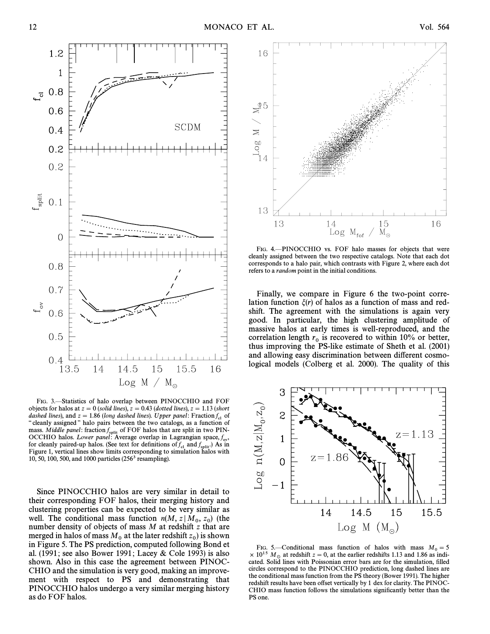

FIG. 3.-Statistics of halo overlap between PINOCCHIO and FOF objects for halos at  $z = 0$  (solid lines),  $z = 0.43$  (dotted lines),  $z = 1.13$  (short dashed lines), and  $z = 1.86$  (long dashed lines). Upper panel: Fraction  $f_{c1}$  of " cleanly assigned " halo pairs between the two catalogs, as a function of mass. *Middle panel*: fraction  $f_{split}$  of FOF halos that are split in two PIN-<br>OCCHIO halos. *Lower panel*: Average overlap in Lagrangian space,  $f_{ov}$ <br>for cleanly paired up halos. (See text for definitions of f, and f, , for cleanly paired-up halos. (See text for definitions of  $f_{c1}$  and  $f_{split}$ .) As in<br>Figure 1, vertical lines show limits corresponding to simulation halos with Figure 1, vertical lines show limits corresponding to simulation halos with 10, 50, 100, 500, and 1000 particles (2563 resampling).

Since PINOCCHIO halos are very similar in detail to their corresponding FOF halos, their merging history and clustering properties can be expected to be very similar as well. The conditional mass function  $n(M, z | M_0, z_0)$  (the number density of objects of mass M at redshift z that are number density of objects of mass M at redshift z that are merged in halos of mass  $M_0$  at the later redshift  $z_0$  is shown<br>in Figure 5. The PS prediction computed following Bond at in Figure 5. The PS prediction, computed following Bond et al. (1991; see also Bower 1991; Lacey & Cole 1993) is also shown. Also in this case the agreement between PINOC-CHIO and the simulation is very good, making an improvement with respect to PS and demonstrating that PINOCCHIO halos undergo a very similar merging history as do FOF halos.



FIG. 4.-PINOCCHIO vs. FOF halo masses for objects that were cleanly assigned between the two respective catalogs. Note that each dot corresponds to a halo pair, which contrasts with Figure 2, where each dot refers to a random point in the initial conditions.

Finally, we compare in Figure 6 the two-point correlation function  $\xi(r)$  of halos as a function of mass and redshift. The agreement with the simulations is again very good. In particular, the high clustering amplitude of massive halos at early times is well-reproduced, and the correlation length  $r_0$  is recovered to within 10% or better, thus improving the PS-like estimate of Sheth et al. (2001) and allowing easy discrimination between different cosmological models (Colberg et al. 2000). The quality of this



FIG. 5.—Conditional mass function of halos with mass  $M_0 = 5$ <br>10<sup>15</sup> M, at redshift  $z = 0$  at the earlier redshifts 1.13 and 1.86 as indi- $\times$  10<sup>15</sup> M<sub>\opptart at redshift  $z = 0$ , at the earlier redshifts 1.13 and 1.86 as indicated. Solid lines with Poissonian error bars are for the simulation, filled</sub> circles correspond to the PINOCCHIO prediction, long dashed lines are the conditional mass function from the PS theory (Bower 1991). The higher redshift results have been offset vertically by 1 dex for clarity. The PINOC-CHIO mass function follows the simulations significantly better than the PS one.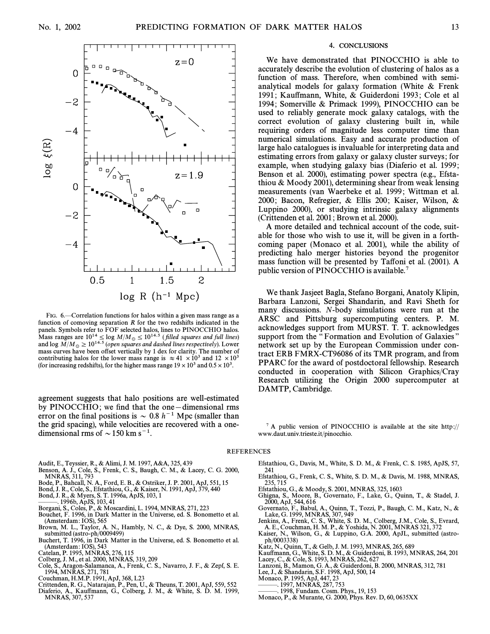

FIG. 6. Correlation functions for halos within a given mass range as a function of comoving separation  $R$  for the two redshifts indicated in the panels. Symbols refer to FOF selected halos, lines to PINOCCHIO halos. Mass ranges are  $10^{14} \le \log M/M_{\odot} \le 10^{14.5}$  (filled squares and full lines) and log  $M/M_{\odot} > 10^{14.5}$  (open squares and dashed lines respectively). Lower and log  $M/M_{\odot} \geq 10^{14.5}$  (open squares and dashed lines respectively). Lower mass curves have been offset vertically by 1 dex for clarity. The number of mass curves have been offset vertically by 1 dex for clarity. The number of contributing halos for the lower mass range is  $\approx 41 \times 10^3$  and  $12 \times 10^3$ (for increasing redshifts), for the higher mass range  $19 \times 10^3$  and  $0.5 \times 10^3$ .

agreement suggests that halo positions are well-estimated by  $PINOCCHIO$ ; we find that the one-dimensional rms error on the final positions is  $\sim 0.8$  h<sup>-1</sup> Mpc (smaller than the grid spacing), while velocities are recovered with a onedimensional rms of  $\sim$  150 km s<sup>-1</sup>.

- Audit, E., Teyssier, R., & Alimi, J. M. 1997, A&A, 325, 439 Benson, A. J., Cole, S., Frenk, C. S., Baugh, C. M., & Lacey, C. G. 2000, MNRAS, 311, 793
- 
- Bode, P., Bahcall, N. A., Ford, E. B., & Ostriker, J. P. 2001, ApJ, 551, 15 Bond, J. R., Cole, S., Efstathiou, G., & Kaiser, N. 1991, ApJ, 379, 440
- 
- Bond, J. R., & Myers, S. T. 1996a, ApJS, 103, 1
- ÈÈÈ. 1996b, ApJS, 103, 41
- Borgani, S., Coles, P., & Moscardini, L. 1994, MNRAS, 271, 223
- Bouchet, F. 1996, in Dark Matter in the Universe, ed. S. Bonometto et al. (Amsterdam : IOS), 565 Brown, M. L., Taylor, A. N., Hambly, N. C., & Dye, S. 2000, MNRAS,
- submitted (astro-ph/0009499)
- Buchert, T. 1996, in Dark Matter in the Universe, ed. S. Bonometto et al. (Amsterdam : IOS), 543
- Catelan, P. 1995, MŃRAS, 276, 115
- Colberg, J. M., et al. 2000, MNRAS, 319, 209
- Cole, S., Aragon-Salamanca, A., Frenk, C. S., Navarro, J. F., & Zepf, S. E. 1994, MNRAS, 271, 781
- Couchman, H.M.P. 1991, ApJ, 368, L23
- Crittenden, R. G., Natarajan, P., Pen, U., & Theuns, T. 2001, ApJ, 559, 552 Diaferio, A., Kau†mann, G., Colberg, J. M., & White, S. D. M. 1999,
- MNRAS, 307, 537

## 4. CONCLUSIONS

We have demonstrated that PINOCCHIO is able to accurately describe the evolution of clustering of halos as a function of mass. Therefore, when combined with semianalytical models for galaxy formation (White & Frenk 1991; Kauffmann, White, & Guiderdoni 1993; Cole et al 1994; Somerville & Primack 1999), PINOCCHIO can be used to reliably generate mock galaxy catalogs, with the correct evolution of galaxy clustering built in, while requiring orders of magnitude less computer time than numerical simulations. Easy and accurate production of large halo catalogues is invaluable for interpreting data and estimating errors from galaxy or galaxy cluster surveys ; for example, when studying galaxy bias (Diaferio et al. 1999 ; Benson et al. 2000), estimating power spectra (e.g., Efstathiou & Moody 2001), determining shear from weak lensing measurements (van Waerbeke et al. 1999 ; Wittman et al. 2000; Bacon, Refregier,  $\&$  Ellis 200; Kaiser, Wilson,  $\&$ Luppino 2000), or studying intrinsic galaxy alignments (Crittenden et al. 2001 ; Brown et al. 2000).

A more detailed and technical account of the code, suitable for those who wish to use it, will be given in a forthcoming paper (Monaco et al. 2001), while the ability of predicting halo merger histories beyond the progenitor mass function will be presented by Taffoni et al. (2001). A public version of PINOCCHIO is available.<sup>7</sup>

We thank Jasjeet Bagla, Stefano Borgani, Anatoly Klipin, Barbara Lanzoni, Sergei Shandarin, and Ravi Sheth for many discussions. N-body simulations were run at the ARSC and Pittsburg supercomputing centers. P. M. acknowledges support from MURST. T. T. acknowledges support from the "Formation and Evolution of Galaxies" network set up by the European Commission under contract ERB FMRX-CT96086 of its TMR program, and from PPARC for the award of postdoctoral fellowship. Research conducted in cooperation with Silicon Graphics/Cray Research utilizing the Origin 2000 supercomputer at DAMTP, Cambridge.

 $^7$  A public version of PINOCCHIO is available at the site http:// www.daut.univ.trieste.it/pinocchio.

## REFERENCES

- Efstathiou, G., Davis, M., White, S. D. M., & Frenk, C. S. 1985, ApJS, 57, 241
- Efstathiou, G., Frenk, C. S., White, S. D. M., & Davis, M. 1988, MNRAS, 235, 715
- Efstathiou, G., & Moody, S. 2001, MNRAS, 325, 1603
- Ghigna, S., Moore, B., Governato, F., Lake, G., Quinn, T., & Stadel, J.
- 2000, ApJ, 544, 616 Governato, F., Babul, A., Quinn, T., Tozzi, P., Baugh, C. M., Katz, N., & Lake, G. 1999, MNRAS, 307, 949 Jenkins, A., Frenk, C. S., White, S. D. M., Colberg, J.M., Cole, S., Evrard,
- A. E., Couchman, H. M. P., & Yoshida, N. 2001, MNRAS 321, 372
- Kaiser, N., Wilson, G., & Luppino, G.A. 2000, ApJL, submitted (astro-ph/0003338)
- Katz, N., Quinn, T., & Gelb, J. M. 1993, MNRAS, 265, 689
- Kauffmann, G., White, S. D. M., & Guiderdoni, B. 1993, MNRAS, 264, 201<br>Lacey, C., & Cole, S. 1993, MNRAS, 262, 627

Lanzoni, B., Mamon, G. A., & Guiderdoni, B. 2000, MNRAS, 312, 781 Lee, J., & Shandarin, S.F. 1998, ApJ, 500, 14

- 
- Monaco, P. 1995, ApJ, 447, 23
- . 1997, MŃRAŚ, 287, 753
- ÈÈÈ. 1998, Fundam. Cosm. Phys., 19, 153
- Monaco, P., & Murante, G. 2000, Phys. Rev. D, 60, 0635XX